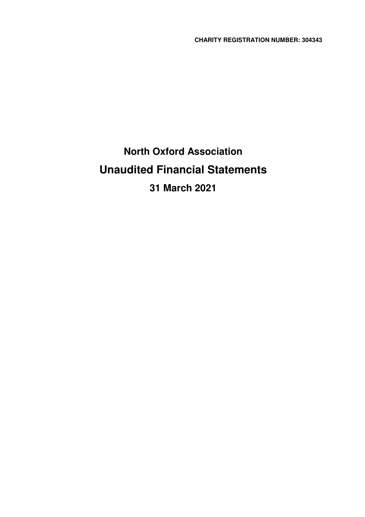**CHARITY REGISTRATION NUMBER: 304343**

# **North Oxford Association Unaudited Financial Statements 31 March 2021**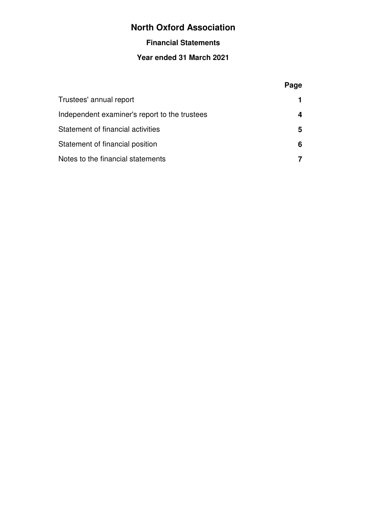# **Financial Statements**

# **Year ended 31 March 2021**

|                                               | Page |
|-----------------------------------------------|------|
| Trustees' annual report                       |      |
| Independent examiner's report to the trustees |      |
| Statement of financial activities             | 5    |
| Statement of financial position               | 6    |
| Notes to the financial statements             |      |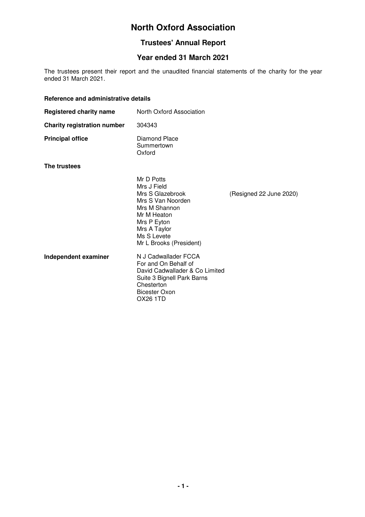# **Trustees' Annual Report**

# **Year ended 31 March 2021**

The trustees present their report and the unaudited financial statements of the charity for the year ended 31 March 2021.

#### **Reference and administrative details**

| <b>Registered charity name</b>     | North Oxford Association                                                                                                                                                    |                         |
|------------------------------------|-----------------------------------------------------------------------------------------------------------------------------------------------------------------------------|-------------------------|
| <b>Charity registration number</b> | 304343                                                                                                                                                                      |                         |
| <b>Principal office</b>            | Diamond Place<br>Summertown<br>Oxford                                                                                                                                       |                         |
| The trustees                       |                                                                                                                                                                             |                         |
|                                    | Mr D Potts<br>Mrs J Field<br>Mrs S Glazebrook<br>Mrs S Van Noorden<br>Mrs M Shannon<br>Mr M Heaton<br>Mrs P Eyton<br>Mrs A Taylor<br>Ms S Levete<br>Mr L Brooks (President) | (Resigned 22 June 2020) |
| Independent examiner               | N J Cadwallader FCCA<br>For and On Behalf of<br>David Cadwallader & Co Limited<br>Suite 3 Bignell Park Barns<br>Chesterton<br><b>Bicester Oxon</b><br><b>OX26 1TD</b>       |                         |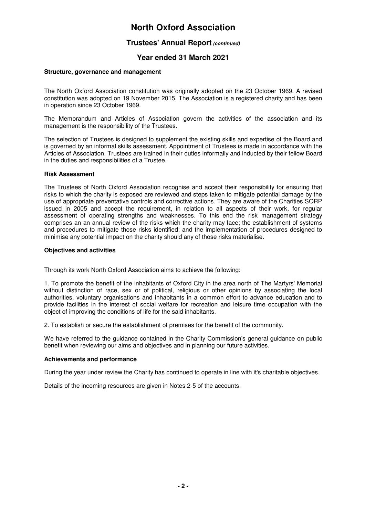### **Trustees' Annual Report (continued)**

### **Year ended 31 March 2021**

#### **Structure, governance and management**

The North Oxford Association constitution was originally adopted on the 23 October 1969. A revised constitution was adopted on 19 November 2015. The Association is a registered charity and has been in operation since 23 October 1969.

The Memorandum and Articles of Association govern the activities of the association and its management is the responsibility of the Trustees.

The selection of Trustees is designed to supplement the existing skills and expertise of the Board and is governed by an informal skills assessment. Appointment of Trustees is made in accordance with the Articles of Association. Trustees are trained in their duties informally and inducted by their fellow Board in the duties and responsibilities of a Trustee.

#### **Risk Assessment**

The Trustees of North Oxford Association recognise and accept their responsibility for ensuring that risks to which the charity is exposed are reviewed and steps taken to mitigate potential damage by the use of appropriate preventative controls and corrective actions. They are aware of the Charities SORP issued in 2005 and accept the requirement, in relation to all aspects of their work, for regular assessment of operating strengths and weaknesses. To this end the risk management strategy comprises an an annual review of the risks which the charity may face; the establishment of systems and procedures to mitigate those risks identified; and the implementation of procedures designed to minimise any potential impact on the charity should any of those risks materialise.

#### **Objectives and activities**

Through its work North Oxford Association aims to achieve the following:

1. To promote the benefit of the inhabitants of Oxford City in the area north of The Martyrs' Memorial without distinction of race, sex or of political, religious or other opinions by associating the local authorities, voluntary organisations and inhabitants in a common effort to advance education and to provide facilities in the interest of social welfare for recreation and leisure time occupation with the object of improving the conditions of life for the said inhabitants.

2. To establish or secure the establishment of premises for the benefit of the community.

We have referred to the guidance contained in the Charity Commission's general guidance on public benefit when reviewing our aims and objectives and in planning our future activities.

#### **Achievements and performance**

During the year under review the Charity has continued to operate in line with it's charitable objectives.

Details of the incoming resources are given in Notes 2-5 of the accounts.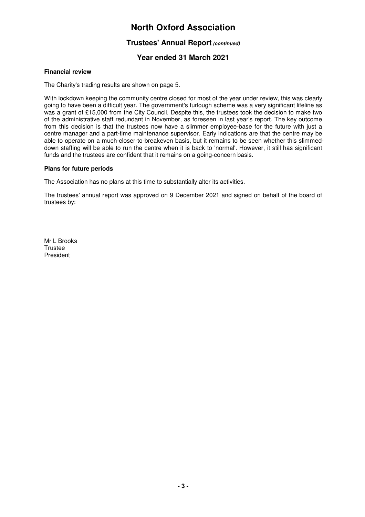### **Trustees' Annual Report (continued)**

# **Year ended 31 March 2021**

#### **Financial review**

The Charity's trading results are shown on page 5.

With lockdown keeping the community centre closed for most of the year under review, this was clearly going to have been a difficult year. The government's furlough scheme was a very significant lifeline as was a grant of £15,000 from the City Council. Despite this, the trustees took the decision to make two of the administrative staff redundant in November, as foreseen in last year's report. The key outcome from this decision is that the trustees now have a slimmer employee-base for the future with just a centre manager and a part-time maintenance supervisor. Early indications are that the centre may be able to operate on a much-closer-to-breakeven basis, but it remains to be seen whether this slimmeddown staffing will be able to run the centre when it is back to 'normal'. However, it still has significant funds and the trustees are confident that it remains on a going-concern basis.

#### **Plans for future periods**

The Association has no plans at this time to substantially alter its activities.

The trustees' annual report was approved on 9 December 2021 and signed on behalf of the board of trustees by:

Mr L Brooks **Trustee** President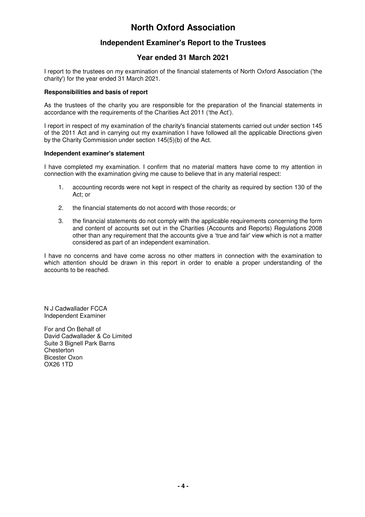# **Independent Examiner's Report to the Trustees**

# **Year ended 31 March 2021**

I report to the trustees on my examination of the financial statements of North Oxford Association ('the charity') for the year ended 31 March 2021.

#### **Responsibilities and basis of report**

As the trustees of the charity you are responsible for the preparation of the financial statements in accordance with the requirements of the Charities Act 2011 ('the Act').

I report in respect of my examination of the charity's financial statements carried out under section 145 of the 2011 Act and in carrying out my examination I have followed all the applicable Directions given by the Charity Commission under section 145(5)(b) of the Act.

#### **Independent examiner's statement**

I have completed my examination. I confirm that no material matters have come to my attention in connection with the examination giving me cause to believe that in any material respect:

- 1. accounting records were not kept in respect of the charity as required by section 130 of the Act; or
- 2. the financial statements do not accord with those records; or
- 3. the financial statements do not comply with the applicable requirements concerning the form and content of accounts set out in the Charities (Accounts and Reports) Regulations 2008 other than any requirement that the accounts give a 'true and fair' view which is not a matter considered as part of an independent examination.

I have no concerns and have come across no other matters in connection with the examination to which attention should be drawn in this report in order to enable a proper understanding of the accounts to be reached.

N J Cadwallader FCCA Independent Examiner

For and On Behalf of David Cadwallader & Co Limited Suite 3 Bignell Park Barns **Chesterton** Bicester Oxon OX26 1TD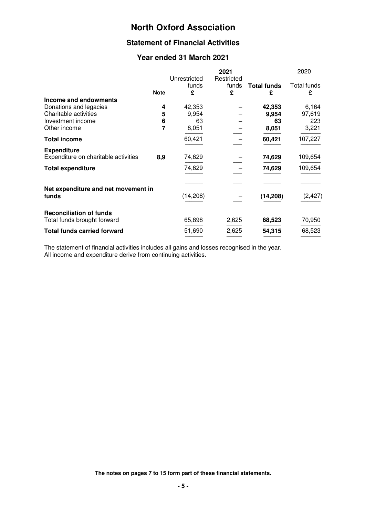# **Statement of Financial Activities**

# **Year ended 31 March 2021**

|                                                               |                | Unrestricted | 2021<br>Restricted |                         | 2020             |
|---------------------------------------------------------------|----------------|--------------|--------------------|-------------------------|------------------|
|                                                               | <b>Note</b>    | funds<br>£   | funds<br>£         | <b>Total funds</b><br>£ | Total funds<br>£ |
| Income and endowments                                         |                |              |                    |                         |                  |
| Donations and legacies                                        | 4              | 42,353       |                    | 42,353                  | 6,164            |
| Charitable activities                                         | 5              | 9,954        |                    | 9,954                   | 97,619           |
| Investment income                                             | 6              | 63           |                    | 63                      | 223              |
| Other income                                                  | $\overline{7}$ | 8,051        |                    | 8,051                   | 3,221            |
| <b>Total income</b>                                           |                | 60,421       |                    | 60,421                  | 107,227          |
| <b>Expenditure</b><br>Expenditure on charitable activities    | 8,9            | 74,629       |                    | 74,629                  | 109,654          |
| <b>Total expenditure</b>                                      |                | 74,629       |                    | 74,629                  | 109,654          |
|                                                               |                |              |                    |                         |                  |
| Net expenditure and net movement in<br>funds                  |                | (14, 208)    |                    | (14, 208)               | (2, 427)         |
| <b>Reconciliation of funds</b><br>Total funds brought forward |                | 65,898       | 2,625              | 68,523                  | 70,950           |
| <b>Total funds carried forward</b>                            |                | 51,690       | 2,625              | 54,315                  | 68,523           |

The statement of financial activities includes all gains and losses recognised in the year. All income and expenditure derive from continuing activities.

**The notes on pages 7 to 15 form part of these financial statements.**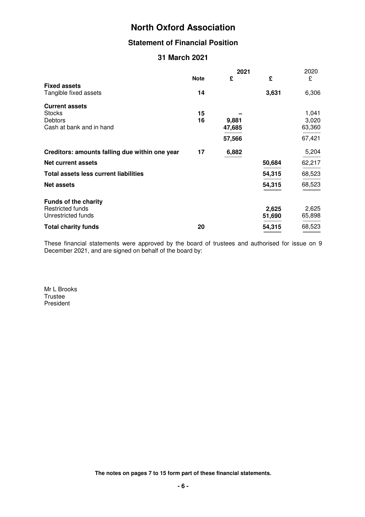# **Statement of Financial Position**

# **31 March 2021**

|                                                |             | 2021   |        | 2020   |
|------------------------------------------------|-------------|--------|--------|--------|
|                                                | <b>Note</b> | £      | £      | £      |
| <b>Fixed assets</b><br>Tangible fixed assets   | 14          |        | 3,631  | 6,306  |
| <b>Current assets</b>                          |             |        |        |        |
| <b>Stocks</b>                                  | 15          |        |        | 1,041  |
| Debtors                                        | 16          | 9,881  |        | 3,020  |
| Cash at bank and in hand                       |             | 47,685 |        | 63,360 |
|                                                |             | 57,566 |        | 67,421 |
| Creditors: amounts falling due within one year | 17          | 6,882  |        | 5,204  |
| Net current assets                             |             |        | 50,684 | 62,217 |
| Total assets less current liabilities          |             |        | 54,315 | 68,523 |
| <b>Net assets</b>                              |             |        | 54,315 | 68,523 |
| <b>Funds of the charity</b>                    |             |        |        |        |
| <b>Restricted funds</b>                        |             |        | 2,625  | 2,625  |
| Unrestricted funds                             |             |        | 51,690 | 65,898 |
| <b>Total charity funds</b>                     | 20          |        | 54,315 | 68,523 |

These financial statements were approved by the board of trustees and authorised for issue on 9 December 2021, and are signed on behalf of the board by:

Mr L Brooks **Trustee** President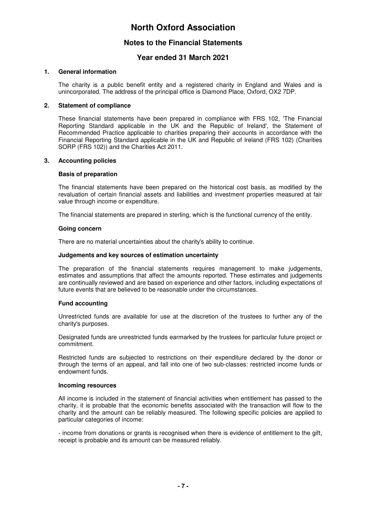### **Notes to the Financial Statements**

# **Year ended 31 March 2021**

#### **1. General information**

The charity is a public benefit entity and a registered charity in England and Wales and is unincorporated. The address of the principal office is Diamond Place, Oxford, OX2 7DP.

#### **2. Statement of compliance**

These financial statements have been prepared in compliance with FRS 102, 'The Financial Reporting Standard applicable in the UK and the Republic of Ireland', the Statement of Recommended Practice applicable to charities preparing their accounts in accordance with the Financial Reporting Standard applicable in the UK and Republic of Ireland (FRS 102) (Charities SORP (FRS 102)) and the Charities Act 2011.

#### **3. Accounting policies**

#### **Basis of preparation**

The financial statements have been prepared on the historical cost basis, as modified by the revaluation of certain financial assets and liabilities and investment properties measured at fair value through income or expenditure.

The financial statements are prepared in sterling, which is the functional currency of the entity.

#### **Going concern**

There are no material uncertainties about the charity's ability to continue.

#### **Judgements and key sources of estimation uncertainty**

The preparation of the financial statements requires management to make judgements, estimates and assumptions that affect the amounts reported. These estimates and judgements are continually reviewed and are based on experience and other factors, including expectations of future events that are believed to be reasonable under the circumstances.

#### **Fund accounting**

Unrestricted funds are available for use at the discretion of the trustees to further any of the charity's purposes.

Designated funds are unrestricted funds earmarked by the trustees for particular future project or commitment.

Restricted funds are subjected to restrictions on their expenditure declared by the donor or through the terms of an appeal, and fall into one of two sub-classes: restricted income funds or endowment funds.

#### **Incoming resources**

All income is included in the statement of financial activities when entitlement has passed to the charity, it is probable that the economic benefits associated with the transaction will flow to the charity and the amount can be reliably measured. The following specific policies are applied to particular categories of income:

- income from donations or grants is recognised when there is evidence of entitlement to the gift, receipt is probable and its amount can be measured reliably.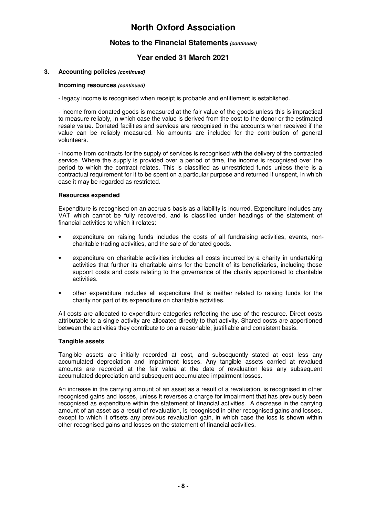### **Notes to the Financial Statements (continued)**

# **Year ended 31 March 2021**

#### **3. Accounting policies (continued)**

#### **Incoming resources (continued)**

- legacy income is recognised when receipt is probable and entitlement is established.

- income from donated goods is measured at the fair value of the goods unless this is impractical to measure reliably, in which case the value is derived from the cost to the donor or the estimated resale value. Donated facilities and services are recognised in the accounts when received if the value can be reliably measured. No amounts are included for the contribution of general volunteers.

- income from contracts for the supply of services is recognised with the delivery of the contracted service. Where the supply is provided over a period of time, the income is recognised over the period to which the contract relates. This is classified as unrestricted funds unless there is a contractual requirement for it to be spent on a particular purpose and returned if unspent, in which case it may be regarded as restricted.

#### **Resources expended**

Expenditure is recognised on an accruals basis as a liability is incurred. Expenditure includes any VAT which cannot be fully recovered, and is classified under headings of the statement of financial activities to which it relates:

- expenditure on raising funds includes the costs of all fundraising activities, events, noncharitable trading activities, and the sale of donated goods.
- expenditure on charitable activities includes all costs incurred by a charity in undertaking activities that further its charitable aims for the benefit of its beneficiaries, including those support costs and costs relating to the governance of the charity apportioned to charitable activities.
- other expenditure includes all expenditure that is neither related to raising funds for the charity nor part of its expenditure on charitable activities.

All costs are allocated to expenditure categories reflecting the use of the resource. Direct costs attributable to a single activity are allocated directly to that activity. Shared costs are apportioned between the activities they contribute to on a reasonable, justifiable and consistent basis.

#### **Tangible assets**

Tangible assets are initially recorded at cost, and subsequently stated at cost less any accumulated depreciation and impairment losses. Any tangible assets carried at revalued amounts are recorded at the fair value at the date of revaluation less any subsequent accumulated depreciation and subsequent accumulated impairment losses.

An increase in the carrying amount of an asset as a result of a revaluation, is recognised in other recognised gains and losses, unless it reverses a charge for impairment that has previously been recognised as expenditure within the statement of financial activities. A decrease in the carrying amount of an asset as a result of revaluation, is recognised in other recognised gains and losses, except to which it offsets any previous revaluation gain, in which case the loss is shown within other recognised gains and losses on the statement of financial activities.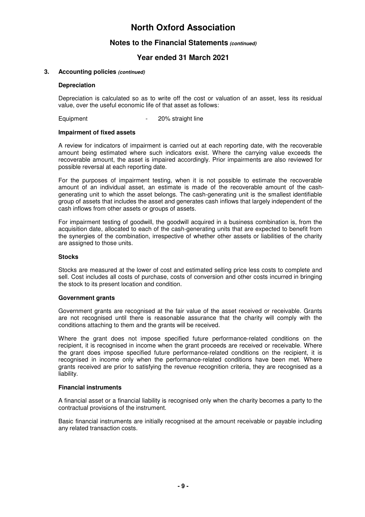### **Notes to the Financial Statements (continued)**

# **Year ended 31 March 2021**

#### **3. Accounting policies (continued)**

#### **Depreciation**

Depreciation is calculated so as to write off the cost or valuation of an asset, less its residual value, over the useful economic life of that asset as follows:

Equipment - 20% straight line

#### **Impairment of fixed assets**

A review for indicators of impairment is carried out at each reporting date, with the recoverable amount being estimated where such indicators exist. Where the carrying value exceeds the recoverable amount, the asset is impaired accordingly. Prior impairments are also reviewed for possible reversal at each reporting date.

For the purposes of impairment testing, when it is not possible to estimate the recoverable amount of an individual asset, an estimate is made of the recoverable amount of the cashgenerating unit to which the asset belongs. The cash-generating unit is the smallest identifiable group of assets that includes the asset and generates cash inflows that largely independent of the cash inflows from other assets or groups of assets.

For impairment testing of goodwill, the goodwill acquired in a business combination is, from the acquisition date, allocated to each of the cash-generating units that are expected to benefit from the synergies of the combination, irrespective of whether other assets or liabilities of the charity are assigned to those units.

#### **Stocks**

Stocks are measured at the lower of cost and estimated selling price less costs to complete and sell. Cost includes all costs of purchase, costs of conversion and other costs incurred in bringing the stock to its present location and condition.

#### **Government grants**

Government grants are recognised at the fair value of the asset received or receivable. Grants are not recognised until there is reasonable assurance that the charity will comply with the conditions attaching to them and the grants will be received.

Where the grant does not impose specified future performance-related conditions on the recipient, it is recognised in income when the grant proceeds are received or receivable. Where the grant does impose specified future performance-related conditions on the recipient, it is recognised in income only when the performance-related conditions have been met. Where grants received are prior to satisfying the revenue recognition criteria, they are recognised as a liability.

#### **Financial instruments**

A financial asset or a financial liability is recognised only when the charity becomes a party to the contractual provisions of the instrument.

Basic financial instruments are initially recognised at the amount receivable or payable including any related transaction costs.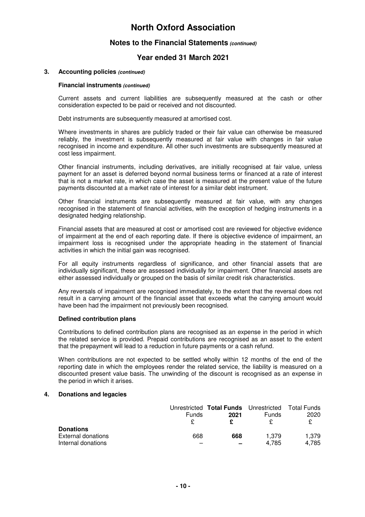### **Notes to the Financial Statements (continued)**

# **Year ended 31 March 2021**

#### **3. Accounting policies (continued)**

#### **Financial instruments (continued)**

Current assets and current liabilities are subsequently measured at the cash or other consideration expected to be paid or received and not discounted.

Debt instruments are subsequently measured at amortised cost.

Where investments in shares are publicly traded or their fair value can otherwise be measured reliably, the investment is subsequently measured at fair value with changes in fair value recognised in income and expenditure. All other such investments are subsequently measured at cost less impairment.

Other financial instruments, including derivatives, are initially recognised at fair value, unless payment for an asset is deferred beyond normal business terms or financed at a rate of interest that is not a market rate, in which case the asset is measured at the present value of the future payments discounted at a market rate of interest for a similar debt instrument.

Other financial instruments are subsequently measured at fair value, with any changes recognised in the statement of financial activities, with the exception of hedging instruments in a designated hedging relationship.

Financial assets that are measured at cost or amortised cost are reviewed for objective evidence of impairment at the end of each reporting date. If there is objective evidence of impairment, an impairment loss is recognised under the appropriate heading in the statement of financial activities in which the initial gain was recognised.

For all equity instruments regardless of significance, and other financial assets that are individually significant, these are assessed individually for impairment. Other financial assets are either assessed individually or grouped on the basis of similar credit risk characteristics.

Any reversals of impairment are recognised immediately, to the extent that the reversal does not result in a carrying amount of the financial asset that exceeds what the carrying amount would have been had the impairment not previously been recognised.

#### **Defined contribution plans**

Contributions to defined contribution plans are recognised as an expense in the period in which the related service is provided. Prepaid contributions are recognised as an asset to the extent that the prepayment will lead to a reduction in future payments or a cash refund.

When contributions are not expected to be settled wholly within 12 months of the end of the reporting date in which the employees render the related service, the liability is measured on a discounted present value basis. The unwinding of the discount is recognised as an expense in the period in which it arises.

#### **4. Donations and legacies**

|                    |       | Unrestricted Total Funds Unrestricted Total Funds |       |       |
|--------------------|-------|---------------------------------------------------|-------|-------|
|                    | Funds | 2021                                              | Funds | 2020  |
|                    |       |                                                   |       |       |
| <b>Donations</b>   |       |                                                   |       |       |
| External donations | 668   | 668                                               | 1.379 | 1.379 |
| Internal donations |       |                                                   | 4.785 | 4.785 |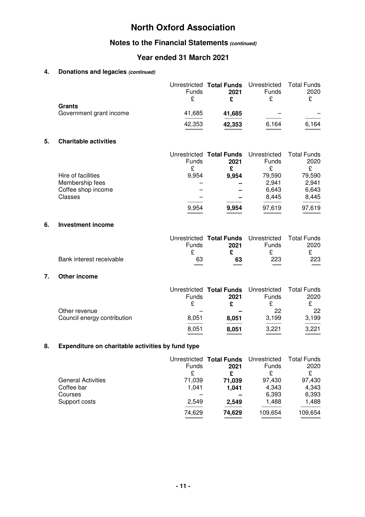# **Notes to the Financial Statements (continued)**

# **Year ended 31 March 2021**

### **4. Donations and legacies (continued)**

|    |                              | Funds<br>£   | Unrestricted Total Funds<br>2021<br>£ | Unrestricted<br>Funds<br>£ | <b>Total Funds</b><br>2020<br>£ |
|----|------------------------------|--------------|---------------------------------------|----------------------------|---------------------------------|
|    | <b>Grants</b>                |              |                                       |                            |                                 |
|    | Government grant income      | 41,685       | 41,685                                |                            |                                 |
|    |                              | 42,353       | 42,353                                | 6,164                      | 6,164                           |
| 5. | <b>Charitable activities</b> |              |                                       |                            |                                 |
|    |                              |              | Unrestricted Total Funds              | Unrestricted               | <b>Total Funds</b>              |
|    |                              | <b>Funds</b> | 2021                                  | <b>Funds</b>               | 2020                            |
|    |                              | £            | £                                     | £                          | £                               |
|    | Hire of facilities           | 9,954        | 9,954                                 | 79,590                     | 79,590                          |
|    | Membership fees              |              |                                       | 2,941                      | 2,941                           |
|    | Coffee shop income           |              |                                       | 6,643                      | 6,643                           |
|    | Classes                      |              |                                       | 8,445                      | 8,445                           |
|    |                              | 9,954        | 9,954                                 | 97,619                     | 97,619                          |
| 6. | <b>Investment income</b>     |              |                                       |                            |                                 |
|    |                              |              | Unrestricted Total Funds              | Unrestricted               | <b>Total Funds</b>              |
|    |                              | Funds        | 2021                                  | Funds                      | 2020                            |
|    |                              | £            | £                                     | £                          | £                               |
|    | Bank interest receivable     | 63           | 63                                    | 223                        | 223                             |

#### **7. Other income**

|                             |       | Unrestricted Total Funds Unrestricted |              | Total Funds |
|-----------------------------|-------|---------------------------------------|--------------|-------------|
|                             | Funds | 2021                                  | <b>Funds</b> | 2020        |
|                             |       |                                       |              |             |
| Other revenue               |       |                                       | 22           | 22          |
| Council energy contribution | 8.051 | 8.051                                 | 3.199        | 3,199       |
|                             | 8,051 | 8,051                                 | 3.221        | 3,221       |
|                             |       |                                       |              | ____        |

----

----

 ----  ----

# **8. Expenditure on charitable activities by fund type**

|                           | <b>Funds</b> | Unrestricted Total Funds<br>2021 | Unrestricted<br><b>Funds</b> | Total Funds<br>2020 |
|---------------------------|--------------|----------------------------------|------------------------------|---------------------|
|                           | £            | £                                | £                            | £                   |
| <b>General Activities</b> | 71,039       | 71,039                           | 97.430                       | 97,430              |
| Coffee bar                | 1.041        | 1.041                            | 4,343                        | 4,343               |
| Courses                   |              |                                  | 6,393                        | 6,393               |
| Support costs             | 2,549        | 2,549                            | 1,488                        | 1,488               |
|                           | 74,629       | 74,629                           | 109,654                      | 109,654             |
|                           |              |                                  |                              |                     |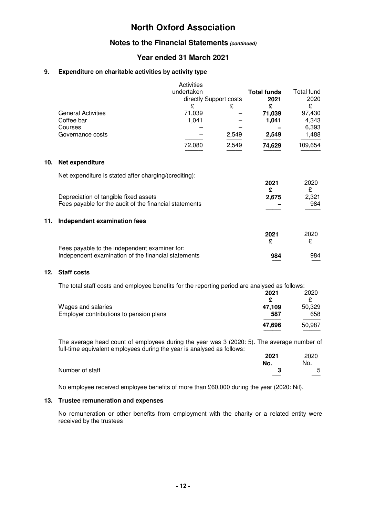### **Notes to the Financial Statements (continued)**

# **Year ended 31 March 2021**

### **9. Expenditure on charitable activities by activity type**

|     |                                                        | <b>Activities</b>      |       |                    |                   |
|-----|--------------------------------------------------------|------------------------|-------|--------------------|-------------------|
|     |                                                        | undertaken             |       | <b>Total funds</b> | <b>Total fund</b> |
|     |                                                        | directly Support costs |       | 2021               | 2020              |
|     |                                                        | £                      | £     | £                  | £                 |
|     | <b>General Activities</b>                              | 71,039                 |       | 71,039             | 97,430            |
|     | Coffee bar                                             | 1,041                  |       | 1,041              | 4,343             |
|     | Courses                                                |                        |       |                    | 6,393             |
|     | Governance costs                                       |                        | 2,549 | 2,549              | 1,488             |
|     |                                                        | 72,080                 | 2,549 | 74,629             | 109,654           |
| 10. | Net expenditure                                        |                        |       |                    |                   |
|     | Net expenditure is stated after charging/(crediting):  |                        |       |                    |                   |
|     |                                                        |                        |       | 2021               | 2020              |
|     |                                                        |                        |       | £                  | £                 |
|     | Depreciation of tangible fixed assets                  |                        |       | 2,675              | 2,321             |
|     | Fees payable for the audit of the financial statements |                        |       |                    | 984               |
|     |                                                        |                        |       |                    |                   |
| 11. | Independent examination fees                           |                        |       |                    |                   |
|     |                                                        |                        |       | 2021               | 2020              |
|     |                                                        |                        |       | £                  | £                 |
|     |                                                        |                        |       |                    |                   |

| Fees payable to the independent examiner for:       |     |     |
|-----------------------------------------------------|-----|-----|
| Independent examination of the financial statements | 984 | 984 |
|                                                     |     | ___ |

#### **12. Staff costs**

**10.** 

The total staff costs and employee benefits for the reporting period are analysed as follows:

|                                         | 2021   | 2020   |
|-----------------------------------------|--------|--------|
|                                         | c      |        |
| Wages and salaries                      | 47.109 | 50,329 |
| Employer contributions to pension plans | 587    | 658    |
|                                         | 47.696 | 50,987 |
|                                         |        | _____  |

The average head count of employees during the year was 3 (2020: 5). The average number of full-time equivalent employees during the year is analysed as follows:

|                 | 2021 | 2020 |
|-----------------|------|------|
|                 | No.  | No.  |
| Number of staff | ◠    | 5    |
|                 | ___  | ___  |

No employee received employee benefits of more than £60,000 during the year (2020: Nil).

#### **13. Trustee remuneration and expenses**

No remuneration or other benefits from employment with the charity or a related entity were received by the trustees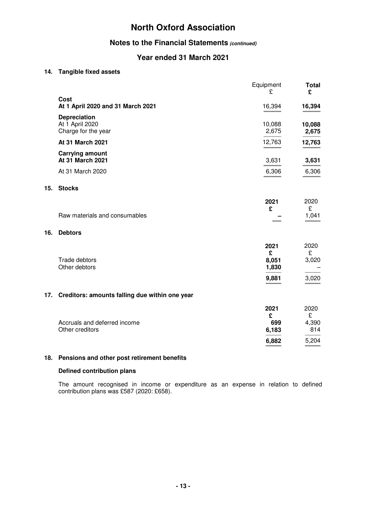# **Notes to the Financial Statements (continued)**

# **Year ended 31 March 2021**

### **14. Tangible fixed assets**

|     |                                                               | Equipment<br>£                       | <b>Total</b><br>£                  |
|-----|---------------------------------------------------------------|--------------------------------------|------------------------------------|
|     | <b>Cost</b><br>At 1 April 2020 and 31 March 2021              | 16,394                               | 16,394                             |
|     | <b>Depreciation</b><br>At 1 April 2020<br>Charge for the year | 10,088<br>2,675                      | 10,088<br>2,675                    |
|     | At 31 March 2021                                              | 12,763                               | 12,763                             |
|     | <b>Carrying amount</b><br><b>At 31 March 2021</b>             | 3,631                                | 3,631                              |
|     | At 31 March 2020                                              | 6,306                                | 6,306                              |
| 15. | <b>Stocks</b>                                                 |                                      |                                    |
|     | Raw materials and consumables                                 | 2021<br>£                            | 2020<br>£<br>1,041                 |
| 16. | <b>Debtors</b>                                                |                                      |                                    |
|     | Trade debtors<br>Other debtors                                | 2021<br>£<br>8,051<br>1,830<br>9,881 | 2020<br>£<br>3,020<br>3,020        |
| 17. | Creditors: amounts falling due within one year                |                                      |                                    |
|     | Accruals and deferred income<br>Other creditors               | 2021<br>£<br>699<br>6,183<br>6,882   | 2020<br>£<br>4,390<br>814<br>5,204 |

### **18. Pensions and other post retirement benefits**

#### **Defined contribution plans**

The amount recognised in income or expenditure as an expense in relation to defined contribution plans was £587 (2020: £658).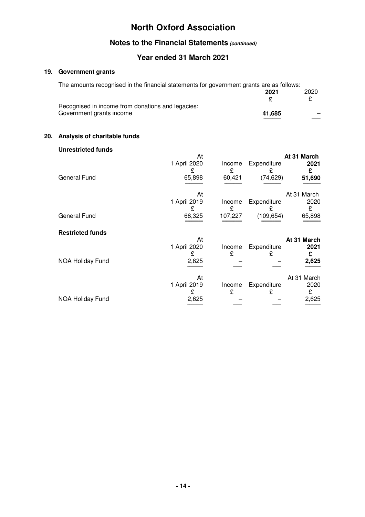# **Notes to the Financial Statements (continued)**

# **Year ended 31 March 2021**

# **19. Government grants**

| The amounts recognised in the financial statements for government grants are as follows: |        |      |
|------------------------------------------------------------------------------------------|--------|------|
|                                                                                          | 2021   | 2020 |
|                                                                                          |        | £    |
| Recognised in income from donations and legacies:                                        |        |      |
| Government grants income                                                                 | 41.685 |      |
|                                                                                          |        |      |

### **20. Analysis of charitable funds**

| <b>Unrestricted funds</b> | At<br>1 April 2020                | Income      | Expenditure      | At 31 March<br>2021      |
|---------------------------|-----------------------------------|-------------|------------------|--------------------------|
| <b>General Fund</b>       | £<br>65,898                       | £<br>60,421 | £<br>(74, 629)   | £<br>51,690              |
| <b>General Fund</b>       | At<br>1 April 2019<br>£<br>68,325 | Income<br>£ | Expenditure<br>£ | At 31 March<br>2020<br>£ |
|                           |                                   | 107,227     | (109, 654)       | 65,898                   |
| <b>Restricted funds</b>   | At<br>1 April 2020<br>£           | Income<br>£ | Expenditure<br>£ | At 31 March<br>2021<br>£ |
| <b>NOA Holiday Fund</b>   | 2,625                             |             |                  | 2,625                    |
|                           | At<br>1 April 2019<br>£           | Income<br>£ | Expenditure<br>£ | At 31 March<br>2020<br>£ |
| <b>NOA Holiday Fund</b>   | 2,625                             |             |                  | 2,625                    |